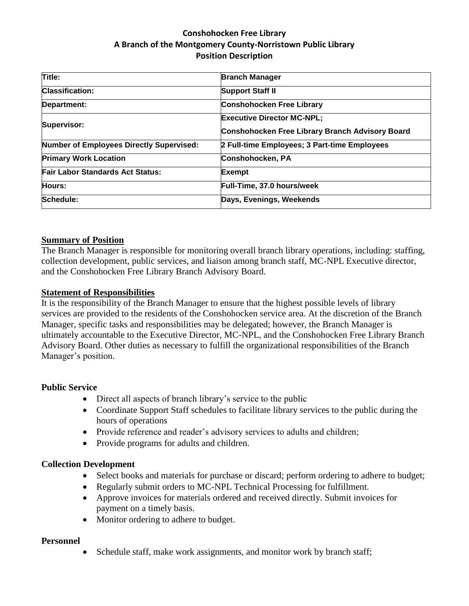# **Conshohocken Free Library A Branch of the Montgomery County-Norristown Public Library Position Description**

| <b>Branch Manager</b>                           |
|-------------------------------------------------|
| <b>Support Staff II</b>                         |
| <b>Conshohocken Free Library</b>                |
| <b>Executive Director MC-NPL:</b>               |
| Conshohocken Free Library Branch Advisory Board |
| 2 Full-time Employees; 3 Part-time Employees    |
| Conshohocken, PA                                |
| Exempt                                          |
| Full-Time, 37.0 hours/week                      |
| Days, Evenings, Weekends                        |
|                                                 |

### **Summary of Position**

The Branch Manager is responsible for monitoring overall branch library operations, including: staffing, collection development, public services, and liaison among branch staff, MC-NPL Executive director, and the Conshohocken Free Library Branch Advisory Board.

#### **Statement of Responsibilities**

It is the responsibility of the Branch Manager to ensure that the highest possible levels of library services are provided to the residents of the Conshohocken service area. At the discretion of the Branch Manager, specific tasks and responsibilities may be delegated; however, the Branch Manager is ultimately accountable to the Executive Director, MC-NPL, and the Conshohocken Free Library Branch Advisory Board. Other duties as necessary to fulfill the organizational responsibilities of the Branch Manager's position.

#### **Public Service**

- Direct all aspects of branch library's service to the public
- Coordinate Support Staff schedules to facilitate library services to the public during the hours of operations
- Provide reference and reader's advisory services to adults and children;
- Provide programs for adults and children.

#### **Collection Development**

- Select books and materials for purchase or discard; perform ordering to adhere to budget;
- Regularly submit orders to MC-NPL Technical Processing for fulfillment.
- Approve invoices for materials ordered and received directly. Submit invoices for payment on a timely basis.
- Monitor ordering to adhere to budget.

#### **Personnel**

• Schedule staff, make work assignments, and monitor work by branch staff;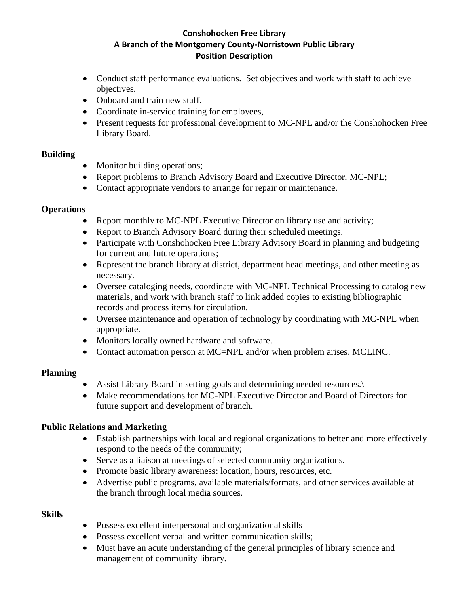# **Conshohocken Free Library A Branch of the Montgomery County-Norristown Public Library Position Description**

- Conduct staff performance evaluations. Set objectives and work with staff to achieve objectives.
- Onboard and train new staff.
- Coordinate in-service training for employees,
- Present requests for professional development to MC-NPL and/or the Conshohocken Free Library Board.

# **Building**

- Monitor building operations;
- Report problems to Branch Advisory Board and Executive Director, MC-NPL;
- Contact appropriate vendors to arrange for repair or maintenance.

# **Operations**

- Report monthly to MC-NPL Executive Director on library use and activity;
- Report to Branch Advisory Board during their scheduled meetings.
- Participate with Conshohocken Free Library Advisory Board in planning and budgeting for current and future operations;
- Represent the branch library at district, department head meetings, and other meeting as necessary.
- Oversee cataloging needs, coordinate with MC-NPL Technical Processing to catalog new materials, and work with branch staff to link added copies to existing bibliographic records and process items for circulation.
- Oversee maintenance and operation of technology by coordinating with MC-NPL when appropriate.
- Monitors locally owned hardware and software.
- Contact automation person at MC=NPL and/or when problem arises, MCLINC.

# **Planning**

- Assist Library Board in setting goals and determining needed resources.
- Make recommendations for MC-NPL Executive Director and Board of Directors for future support and development of branch.

# **Public Relations and Marketing**

- Establish partnerships with local and regional organizations to better and more effectively respond to the needs of the community;
- Serve as a liaison at meetings of selected community organizations.
- Promote basic library awareness: location, hours, resources, etc.
- Advertise public programs, available materials/formats, and other services available at the branch through local media sources.

# **Skills**

- Possess excellent interpersonal and organizational skills
- Possess excellent verbal and written communication skills:
- Must have an acute understanding of the general principles of library science and management of community library.